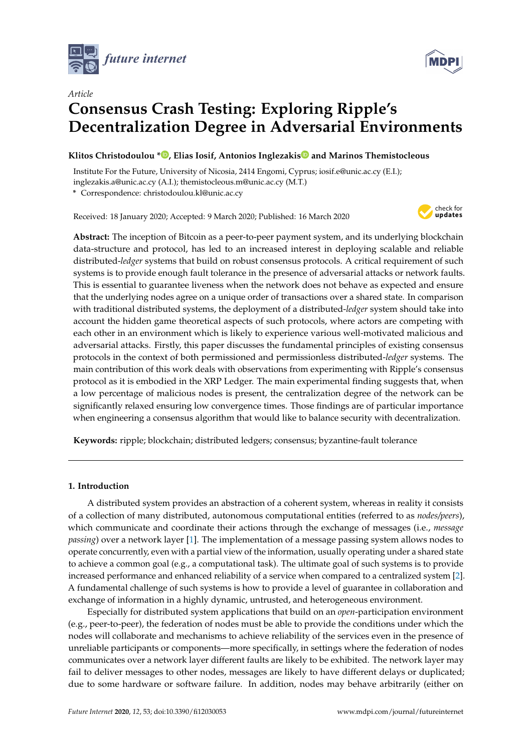



# *Article* **Consensus Crash Testing: Exploring Ripple's Decentralization Degree in Adversarial Environments**

# **Klitos Christodoulou [\\*](https://orcid.org/0000-0003-3543-6405) , Elias Iosif, Antonios Inglezaki[s](https://orcid.org/0000-0001-6404-8079) and Marinos Themistocleous**

Institute For the Future, University of Nicosia, 2414 Engomi, Cyprus; iosif.e@unic.ac.cy (E.I.); inglezakis.a@unic.ac.cy (A.I.); themistocleous.m@unic.ac.cy (M.T.)

**\*** Correspondence: christodoulou.kl@unic.ac.cy

Received: 18 January 2020; Accepted: 9 March 2020; Published: 16 March 2020



**Abstract:** The inception of Bitcoin as a peer-to-peer payment system, and its underlying blockchain data-structure and protocol, has led to an increased interest in deploying scalable and reliable distributed-*ledger* systems that build on robust consensus protocols. A critical requirement of such systems is to provide enough fault tolerance in the presence of adversarial attacks or network faults. This is essential to guarantee liveness when the network does not behave as expected and ensure that the underlying nodes agree on a unique order of transactions over a shared state. In comparison with traditional distributed systems, the deployment of a distributed-*ledger* system should take into account the hidden game theoretical aspects of such protocols, where actors are competing with each other in an environment which is likely to experience various well-motivated malicious and adversarial attacks. Firstly, this paper discusses the fundamental principles of existing consensus protocols in the context of both permissioned and permissionless distributed-*ledger* systems. The main contribution of this work deals with observations from experimenting with Ripple's consensus protocol as it is embodied in the XRP Ledger. The main experimental finding suggests that, when a low percentage of malicious nodes is present, the centralization degree of the network can be significantly relaxed ensuring low convergence times. Those findings are of particular importance when engineering a consensus algorithm that would like to balance security with decentralization.

**Keywords:** ripple; blockchain; distributed ledgers; consensus; byzantine-fault tolerance

## **1. Introduction**

A distributed system provides an abstraction of a coherent system, whereas in reality it consists of a collection of many distributed, autonomous computational entities (referred to as *nodes/peers*), which communicate and coordinate their actions through the exchange of messages (i.e., *message passing*) over a network layer [\[1\]](#page-9-0). The implementation of a message passing system allows nodes to operate concurrently, even with a partial view of the information, usually operating under a shared state to achieve a common goal (e.g., a computational task). The ultimate goal of such systems is to provide increased performance and enhanced reliability of a service when compared to a centralized system [\[2\]](#page-9-1). A fundamental challenge of such systems is how to provide a level of guarantee in collaboration and exchange of information in a highly dynamic, untrusted, and heterogeneous environment.

Especially for distributed system applications that build on an *open*-participation environment (e.g., peer-to-peer), the federation of nodes must be able to provide the conditions under which the nodes will collaborate and mechanisms to achieve reliability of the services even in the presence of unreliable participants or components—more specifically, in settings where the federation of nodes communicates over a network layer different faults are likely to be exhibited. The network layer may fail to deliver messages to other nodes, messages are likely to have different delays or duplicated; due to some hardware or software failure. In addition, nodes may behave arbitrarily (either on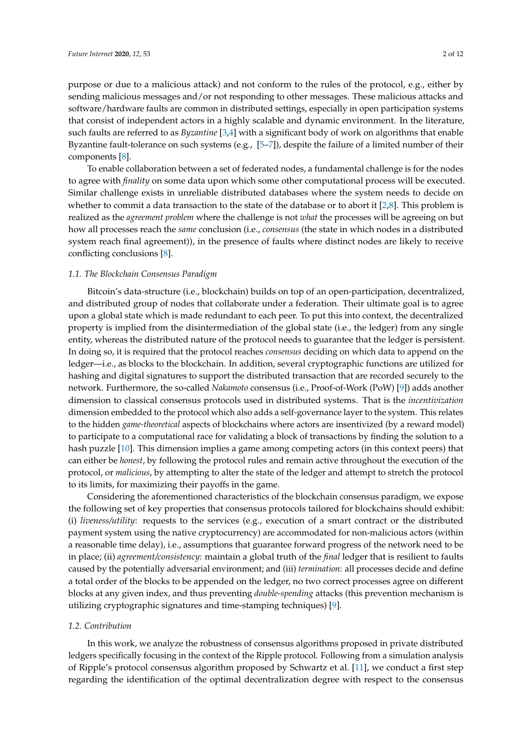purpose or due to a malicious attack) and not conform to the rules of the protocol, e.g., either by sending malicious messages and/or not responding to other messages. These malicious attacks and software/hardware faults are common in distributed settings, especially in open participation systems that consist of independent actors in a highly scalable and dynamic environment. In the literature, such faults are referred to as *Byzantine* [\[3](#page-9-2)[,4\]](#page-9-3) with a significant body of work on algorithms that enable Byzantine fault-tolerance on such systems (e.g., [\[5–](#page-9-4)[7\]](#page-10-0)), despite the failure of a limited number of their components [\[8\]](#page-10-1).

To enable collaboration between a set of federated nodes, a fundamental challenge is for the nodes to agree with *finality* on some data upon which some other computational process will be executed. Similar challenge exists in unreliable distributed databases where the system needs to decide on whether to commit a data transaction to the state of the database or to abort it [\[2](#page-9-1)[,8\]](#page-10-1). This problem is realized as the *agreement problem* where the challenge is not *what* the processes will be agreeing on but how all processes reach the *same* conclusion (i.e., *consensus* (the state in which nodes in a distributed system reach final agreement)), in the presence of faults where distinct nodes are likely to receive conflicting conclusions [\[8\]](#page-10-1).

#### *1.1. The Blockchain Consensus Paradigm*

Bitcoin's data-structure (i.e., blockchain) builds on top of an open-participation, decentralized, and distributed group of nodes that collaborate under a federation. Their ultimate goal is to agree upon a global state which is made redundant to each peer. To put this into context, the decentralized property is implied from the disintermediation of the global state (i.e., the ledger) from any single entity, whereas the distributed nature of the protocol needs to guarantee that the ledger is persistent. In doing so, it is required that the protocol reaches *consensus* deciding on which data to append on the ledger—i.e., as blocks to the blockchain. In addition, several cryptographic functions are utilized for hashing and digital signatures to support the distributed transaction that are recorded securely to the network. Furthermore, the so-called *Nakamoto* consensus (i.e., Proof-of-Work (PoW) [\[9\]](#page-10-2)) adds another dimension to classical consensus protocols used in distributed systems. That is the *incentivization* dimension embedded to the protocol which also adds a self-governance layer to the system. This relates to the hidden *game-theoretical* aspects of blockchains where actors are insentivized (by a reward model) to participate to a computational race for validating a block of transactions by finding the solution to a hash puzzle [\[10\]](#page-10-3). This dimension implies a game among competing actors (in this context peers) that can either be *honest*, by following the protocol rules and remain active throughout the execution of the protocol, or *malicious*, by attempting to alter the state of the ledger and attempt to stretch the protocol to its limits, for maximizing their payoffs in the game.

Considering the aforementioned characteristics of the blockchain consensus paradigm, we expose the following set of key properties that consensus protocols tailored for blockchains should exhibit: (i) *liveness/utility*: requests to the services (e.g., execution of a smart contract or the distributed payment system using the native cryptocurrency) are accommodated for non-malicious actors (within a reasonable time delay), i.e., assumptions that guarantee forward progress of the network need to be in place; (ii) *agreement/consistency*: maintain a global truth of the *final* ledger that is resilient to faults caused by the potentially adversarial environment; and (iii) *termination*: all processes decide and define a total order of the blocks to be appended on the ledger, no two correct processes agree on different blocks at any given index, and thus preventing *double-spending* attacks (this prevention mechanism is utilizing cryptographic signatures and time-stamping techniques) [\[9\]](#page-10-2).

#### *1.2. Contribution*

In this work, we analyze the robustness of consensus algorithms proposed in private distributed ledgers specifically focusing in the context of the Ripple protocol. Following from a simulation analysis of Ripple's protocol consensus algorithm proposed by Schwartz et al. [\[11\]](#page-10-4), we conduct a first step regarding the identification of the optimal decentralization degree with respect to the consensus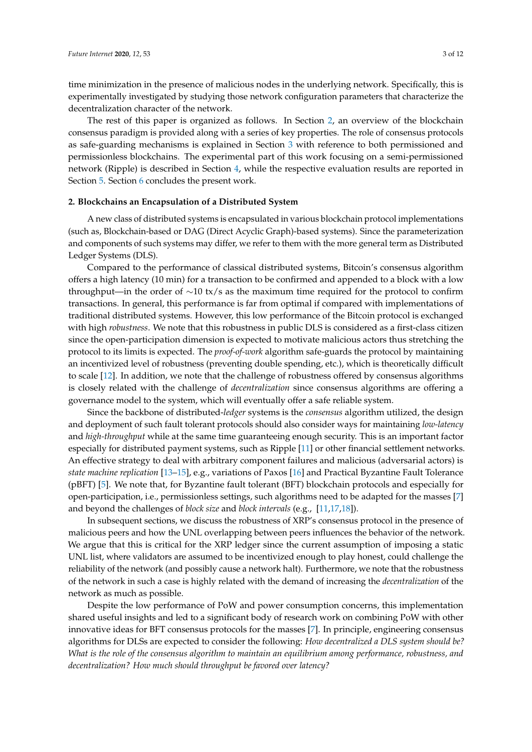time minimization in the presence of malicious nodes in the underlying network. Specifically, this is experimentally investigated by studying those network configuration parameters that characterize the decentralization character of the network.

The rest of this paper is organized as follows. In Section [2,](#page-2-0) an overview of the blockchain consensus paradigm is provided along with a series of key properties. The role of consensus protocols as safe-guarding mechanisms is explained in Section [3](#page-3-0) with reference to both permissioned and permissionless blockchains. The experimental part of this work focusing on a semi-permissioned network (Ripple) is described in Section [4,](#page-6-0) while the respective evaluation results are reported in Section [5.](#page-7-0) Section [6](#page-8-0) concludes the present work.

#### <span id="page-2-0"></span>**2. Blockchains an Encapsulation of a Distributed System**

A new class of distributed systems is encapsulated in various blockchain protocol implementations (such as, Blockchain-based or DAG (Direct Acyclic Graph)-based systems). Since the parameterization and components of such systems may differ, we refer to them with the more general term as Distributed Ledger Systems (DLS).

Compared to the performance of classical distributed systems, Bitcoin's consensus algorithm offers a high latency (10 min) for a transaction to be confirmed and appended to a block with a low throughput—in the order of ∼10 tx/s as the maximum time required for the protocol to confirm transactions. In general, this performance is far from optimal if compared with implementations of traditional distributed systems. However, this low performance of the Bitcoin protocol is exchanged with high *robustness*. We note that this robustness in public DLS is considered as a first-class citizen since the open-participation dimension is expected to motivate malicious actors thus stretching the protocol to its limits is expected. The *proof-of-work* algorithm safe-guards the protocol by maintaining an incentivized level of robustness (preventing double spending, etc.), which is theoretically difficult to scale [\[12\]](#page-10-5). In addition, we note that the challenge of robustness offered by consensus algorithms is closely related with the challenge of *decentralization* since consensus algorithms are offering a governance model to the system, which will eventually offer a safe reliable system.

Since the backbone of distributed-*ledger* systems is the *consensus* algorithm utilized, the design and deployment of such fault tolerant protocols should also consider ways for maintaining *low-latency* and *high-throughput* while at the same time guaranteeing enough security. This is an important factor especially for distributed payment systems, such as Ripple [\[11\]](#page-10-4) or other financial settlement networks. An effective strategy to deal with arbitrary component failures and malicious (adversarial actors) is *state machine replication* [\[13](#page-10-6)[–15\]](#page-10-7), e.g., variations of Paxos [\[16\]](#page-10-8) and Practical Byzantine Fault Tolerance (pBFT) [\[5\]](#page-9-4). We note that, for Byzantine fault tolerant (BFT) blockchain protocols and especially for open-participation, i.e., permissionless settings, such algorithms need to be adapted for the masses [\[7\]](#page-10-0) and beyond the challenges of *block size* and *block intervals* (e.g., [\[11](#page-10-4)[,17,](#page-10-9)[18\]](#page-10-10)).

In subsequent sections, we discuss the robustness of XRP's consensus protocol in the presence of malicious peers and how the UNL overlapping between peers influences the behavior of the network. We argue that this is critical for the XRP ledger since the current assumption of imposing a static UNL list, where validators are assumed to be incentivized enough to play honest, could challenge the reliability of the network (and possibly cause a network halt). Furthermore, we note that the robustness of the network in such a case is highly related with the demand of increasing the *decentralization* of the network as much as possible.

Despite the low performance of PoW and power consumption concerns, this implementation shared useful insights and led to a significant body of research work on combining PoW with other innovative ideas for BFT consensus protocols for the masses [\[7\]](#page-10-0). In principle, engineering consensus algorithms for DLSs are expected to consider the following: *How decentralized a DLS system should be? What is the role of the consensus algorithm to maintain an equilibrium among performance, robustness, and decentralization? How much should throughput be favored over latency?*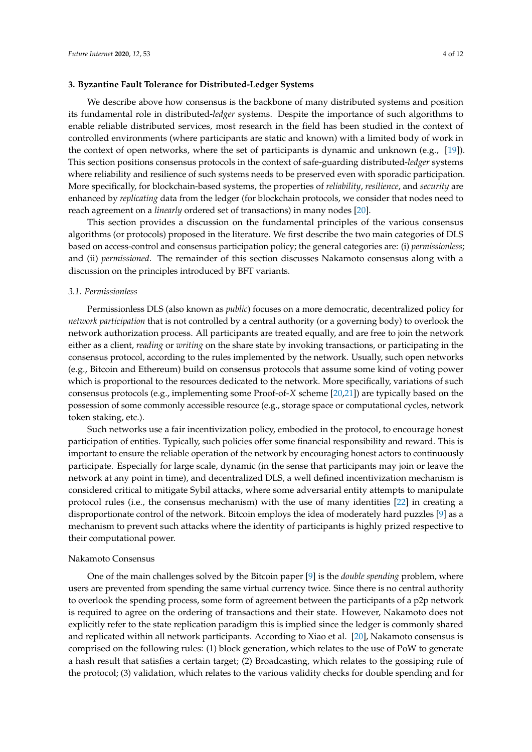### <span id="page-3-0"></span>**3. Byzantine Fault Tolerance for Distributed-Ledger Systems**

We describe above how consensus is the backbone of many distributed systems and position its fundamental role in distributed-*ledger* systems. Despite the importance of such algorithms to enable reliable distributed services, most research in the field has been studied in the context of controlled environments (where participants are static and known) with a limited body of work in the context of open networks, where the set of participants is dynamic and unknown (e.g., [\[19\]](#page-10-11)). This section positions consensus protocols in the context of safe-guarding distributed-*ledger* systems where reliability and resilience of such systems needs to be preserved even with sporadic participation. More specifically, for blockchain-based systems, the properties of *reliability*, *resilience*, and *security* are enhanced by *replicating* data from the ledger (for blockchain protocols, we consider that nodes need to reach agreement on a *linearly* ordered set of transactions) in many nodes [\[20\]](#page-10-12).

This section provides a discussion on the fundamental principles of the various consensus algorithms (or protocols) proposed in the literature. We first describe the two main categories of DLS based on access-control and consensus participation policy; the general categories are: (i) *permissionless*; and (ii) *permissioned*. The remainder of this section discusses Nakamoto consensus along with a discussion on the principles introduced by BFT variants.

#### *3.1. Permissionless*

Permissionless DLS (also known as *public*) focuses on a more democratic, decentralized policy for *network participation* that is not controlled by a central authority (or a governing body) to overlook the network authorization process. All participants are treated equally, and are free to join the network either as a client, *reading* or *writing* on the share state by invoking transactions, or participating in the consensus protocol, according to the rules implemented by the network. Usually, such open networks (e.g., Bitcoin and Ethereum) build on consensus protocols that assume some kind of voting power which is proportional to the resources dedicated to the network. More specifically, variations of such consensus protocols (e.g., implementing some Proof-of-*X* scheme [\[20,](#page-10-12)[21\]](#page-10-13)) are typically based on the possession of some commonly accessible resource (e.g., storage space or computational cycles, network token staking, etc.).

Such networks use a fair incentivization policy, embodied in the protocol, to encourage honest participation of entities. Typically, such policies offer some financial responsibility and reward. This is important to ensure the reliable operation of the network by encouraging honest actors to continuously participate. Especially for large scale, dynamic (in the sense that participants may join or leave the network at any point in time), and decentralized DLS, a well defined incentivization mechanism is considered critical to mitigate Sybil attacks, where some adversarial entity attempts to manipulate protocol rules (i.e., the consensus mechanism) with the use of many identities [\[22\]](#page-10-14) in creating a disproportionate control of the network. Bitcoin employs the idea of moderately hard puzzles [\[9\]](#page-10-2) as a mechanism to prevent such attacks where the identity of participants is highly prized respective to their computational power.

#### Nakamoto Consensus

One of the main challenges solved by the Bitcoin paper [\[9\]](#page-10-2) is the *double spending* problem, where users are prevented from spending the same virtual currency twice. Since there is no central authority to overlook the spending process, some form of agreement between the participants of a p2p network is required to agree on the ordering of transactions and their state. However, Nakamoto does not explicitly refer to the state replication paradigm this is implied since the ledger is commonly shared and replicated within all network participants. According to Xiao et al. [\[20\]](#page-10-12), Nakamoto consensus is comprised on the following rules: (1) block generation, which relates to the use of PoW to generate a hash result that satisfies a certain target; (2) Broadcasting, which relates to the gossiping rule of the protocol; (3) validation, which relates to the various validity checks for double spending and for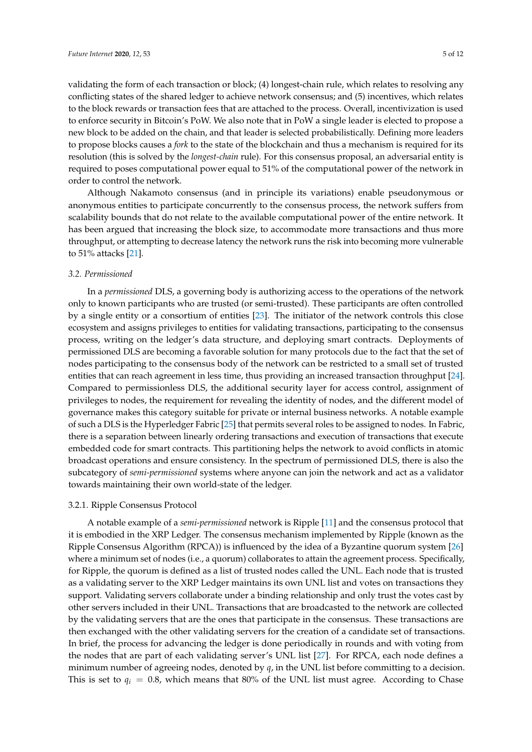validating the form of each transaction or block; (4) longest-chain rule, which relates to resolving any conflicting states of the shared ledger to achieve network consensus; and (5) incentives, which relates to the block rewards or transaction fees that are attached to the process. Overall, incentivization is used to enforce security in Bitcoin's PoW. We also note that in PoW a single leader is elected to propose a new block to be added on the chain, and that leader is selected probabilistically. Defining more leaders to propose blocks causes a *fork* to the state of the blockchain and thus a mechanism is required for its resolution (this is solved by the *longest-chain* rule). For this consensus proposal, an adversarial entity is required to poses computational power equal to 51% of the computational power of the network in order to control the network.

Although Nakamoto consensus (and in principle its variations) enable pseudonymous or anonymous entities to participate concurrently to the consensus process, the network suffers from scalability bounds that do not relate to the available computational power of the entire network. It has been argued that increasing the block size, to accommodate more transactions and thus more throughput, or attempting to decrease latency the network runs the risk into becoming more vulnerable to 51% attacks [\[21\]](#page-10-13).

## *3.2. Permissioned*

In a *permissioned* DLS, a governing body is authorizing access to the operations of the network only to known participants who are trusted (or semi-trusted). These participants are often controlled by a single entity or a consortium of entities [\[23\]](#page-10-15). The initiator of the network controls this close ecosystem and assigns privileges to entities for validating transactions, participating to the consensus process, writing on the ledger's data structure, and deploying smart contracts. Deployments of permissioned DLS are becoming a favorable solution for many protocols due to the fact that the set of nodes participating to the consensus body of the network can be restricted to a small set of trusted entities that can reach agreement in less time, thus providing an increased transaction throughput [\[24\]](#page-10-16). Compared to permissionless DLS, the additional security layer for access control, assignment of privileges to nodes, the requirement for revealing the identity of nodes, and the different model of governance makes this category suitable for private or internal business networks. A notable example of such a DLS is the Hyperledger Fabric [\[25\]](#page-10-17) that permits several roles to be assigned to nodes. In Fabric, there is a separation between linearly ordering transactions and execution of transactions that execute embedded code for smart contracts. This partitioning helps the network to avoid conflicts in atomic broadcast operations and ensure consistency. In the spectrum of permissioned DLS, there is also the subcategory of *semi-permissioned* systems where anyone can join the network and act as a validator towards maintaining their own world-state of the ledger.

#### 3.2.1. Ripple Consensus Protocol

A notable example of a *semi-permissioned* network is Ripple [\[11\]](#page-10-4) and the consensus protocol that it is embodied in the XRP Ledger. The consensus mechanism implemented by Ripple (known as the Ripple Consensus Algorithm (RPCA)) is influenced by the idea of a Byzantine quorum system [\[26\]](#page-10-18) where a minimum set of nodes (i.e., a quorum) collaborates to attain the agreement process. Specifically, for Ripple, the quorum is defined as a list of trusted nodes called the UNL. Each node that is trusted as a validating server to the XRP Ledger maintains its own UNL list and votes on transactions they support. Validating servers collaborate under a binding relationship and only trust the votes cast by other servers included in their UNL. Transactions that are broadcasted to the network are collected by the validating servers that are the ones that participate in the consensus. These transactions are then exchanged with the other validating servers for the creation of a candidate set of transactions. In brief, the process for advancing the ledger is done periodically in rounds and with voting from the nodes that are part of each validating server's UNL list [\[27\]](#page-10-19). For RPCA, each node defines a minimum number of agreeing nodes, denoted by *q*, in the UNL list before committing to a decision. This is set to  $q_i = 0.8$ , which means that 80% of the UNL list must agree. According to Chase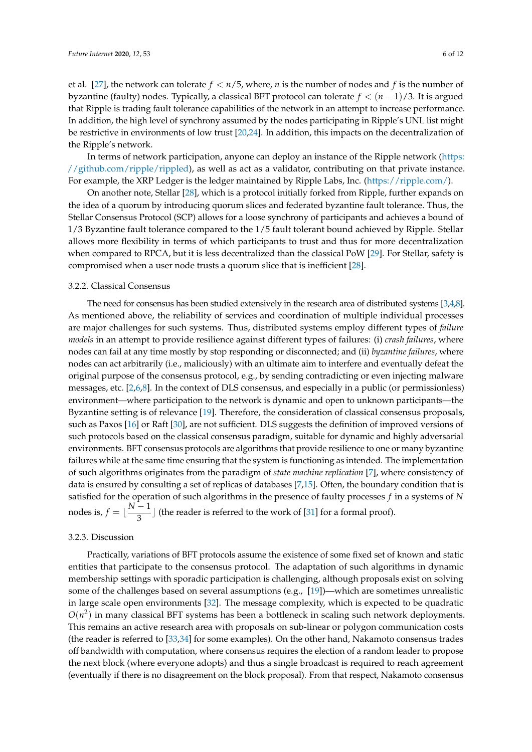et al. [\[27\]](#page-10-19), the network can tolerate *f* < *n*/5, where, *n* is the number of nodes and *f* is the number of byzantine (faulty) nodes. Typically, a classical BFT protocol can tolerate *f* < (*n* − 1)/3. It is argued that Ripple is trading fault tolerance capabilities of the network in an attempt to increase performance. In addition, the high level of synchrony assumed by the nodes participating in Ripple's UNL list might be restrictive in environments of low trust [\[20,](#page-10-12)[24\]](#page-10-16). In addition, this impacts on the decentralization of the Ripple's network.

In terms of network participation, anyone can deploy an instance of the Ripple network [\(https:](https://github.com/ripple/rippled) [//github.com/ripple/rippled\)](https://github.com/ripple/rippled), as well as act as a validator, contributing on that private instance. For example, the XRP Ledger is the ledger maintained by Ripple Labs, Inc. [\(https://ripple.com/\)](https://ripple.com/).

On another note, Stellar [\[28\]](#page-10-20), which is a protocol initially forked from Ripple, further expands on the idea of a quorum by introducing quorum slices and federated byzantine fault tolerance. Thus, the Stellar Consensus Protocol (SCP) allows for a loose synchrony of participants and achieves a bound of 1/3 Byzantine fault tolerance compared to the 1/5 fault tolerant bound achieved by Ripple. Stellar allows more flexibility in terms of which participants to trust and thus for more decentralization when compared to RPCA, but it is less decentralized than the classical PoW [\[29\]](#page-10-21). For Stellar, safety is compromised when a user node trusts a quorum slice that is inefficient [\[28\]](#page-10-20).

#### 3.2.2. Classical Consensus

The need for consensus has been studied extensively in the research area of distributed systems [\[3](#page-9-2)[,4](#page-9-3)[,8\]](#page-10-1). As mentioned above, the reliability of services and coordination of multiple individual processes are major challenges for such systems. Thus, distributed systems employ different types of *failure models* in an attempt to provide resilience against different types of failures: (i) *crash failures*, where nodes can fail at any time mostly by stop responding or disconnected; and (ii) *byzantine failures*, where nodes can act arbitrarily (i.e., maliciously) with an ultimate aim to interfere and eventually defeat the original purpose of the consensus protocol, e.g., by sending contradicting or even injecting malware messages, etc. [\[2](#page-9-1)[,6](#page-9-5)[,8\]](#page-10-1). In the context of DLS consensus, and especially in a public (or permissionless) environment—where participation to the network is dynamic and open to unknown participants—the Byzantine setting is of relevance [\[19\]](#page-10-11). Therefore, the consideration of classical consensus proposals, such as Paxos [\[16\]](#page-10-8) or Raft [\[30\]](#page-11-0), are not sufficient. DLS suggests the definition of improved versions of such protocols based on the classical consensus paradigm, suitable for dynamic and highly adversarial environments. BFT consensus protocols are algorithms that provide resilience to one or many byzantine failures while at the same time ensuring that the system is functioning as intended. The implementation of such algorithms originates from the paradigm of *state machine replication* [\[7\]](#page-10-0), where consistency of data is ensured by consulting a set of replicas of databases [\[7,](#page-10-0)[15\]](#page-10-7). Often, the boundary condition that is satisfied for the operation of such algorithms in the presence of faulty processes *f* in a systems of *N* nodes is,  $f = \lfloor \frac{N-1}{2} \rfloor$  $\frac{1}{3}$  (the reader is referred to the work of [\[31\]](#page-11-1) for a formal proof).

## 3.2.3. Discussion

Practically, variations of BFT protocols assume the existence of some fixed set of known and static entities that participate to the consensus protocol. The adaptation of such algorithms in dynamic membership settings with sporadic participation is challenging, although proposals exist on solving some of the challenges based on several assumptions (e.g.,  $[19]$ )—which are sometimes unrealistic in large scale open environments [\[32\]](#page-11-2). The message complexity, which is expected to be quadratic  $O(n^2)$  in many classical BFT systems has been a bottleneck in scaling such network deployments. This remains an active research area with proposals on sub-linear or polygon communication costs (the reader is referred to [\[33,](#page-11-3)[34\]](#page-11-4) for some examples). On the other hand, Nakamoto consensus trades off bandwidth with computation, where consensus requires the election of a random leader to propose the next block (where everyone adopts) and thus a single broadcast is required to reach agreement (eventually if there is no disagreement on the block proposal). From that respect, Nakamoto consensus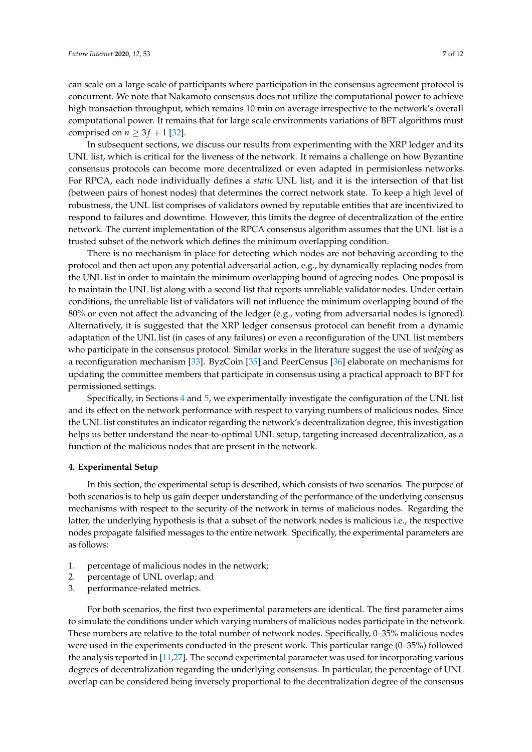can scale on a large scale of participants where participation in the consensus agreement protocol is concurrent. We note that Nakamoto consensus does not utilize the computational power to achieve high transaction throughput, which remains 10 min on average irrespective to the network's overall computational power. It remains that for large scale environments variations of BFT algorithms must comprised on  $n \geq 3f + 1$  [\[32\]](#page-11-2).

In subsequent sections, we discuss our results from experimenting with the XRP ledger and its UNL list, which is critical for the liveness of the network. It remains a challenge on how Byzantine consensus protocols can become more decentralized or even adapted in permisionless networks. For RPCA, each node individually defines a *static* UNL list, and it is the intersection of that list (between pairs of honest nodes) that determines the correct network state. To keep a high level of robustness, the UNL list comprises of validators owned by reputable entities that are incentivized to respond to failures and downtime. However, this limits the degree of decentralization of the entire network. The current implementation of the RPCA consensus algorithm assumes that the UNL list is a trusted subset of the network which defines the minimum overlapping condition.

There is no mechanism in place for detecting which nodes are not behaving according to the protocol and then act upon any potential adversarial action, e.g., by dynamically replacing nodes from the UNL list in order to maintain the minimum overlapping bound of agreeing nodes. One proposal is to maintain the UNL list along with a second list that reports unreliable validator nodes. Under certain conditions, the unreliable list of validators will not influence the minimum overlapping bound of the 80% or even not affect the advancing of the ledger (e.g., voting from adversarial nodes is ignored). Alternatively, it is suggested that the XRP ledger consensus protocol can benefit from a dynamic adaptation of the UNL list (in cases of any failures) or even a reconfiguration of the UNL list members who participate in the consensus protocol. Similar works in the literature suggest the use of *wedging* as a reconfiguration mechanism [\[33\]](#page-11-3). ByzCoin [\[35\]](#page-11-5) and PeerCensus [\[36\]](#page-11-6) elaborate on mechanisms for updating the committee members that participate in consensus using a practical approach to BFT for permissioned settings.

Specifically, in Sections [4](#page-6-0) and [5,](#page-7-0) we experimentally investigate the configuration of the UNL list and its effect on the network performance with respect to varying numbers of malicious nodes. Since the UNL list constitutes an indicator regarding the network's decentralization degree, this investigation helps us better understand the near-to-optimal UNL setup, targeting increased decentralization, as a function of the malicious nodes that are present in the network.

#### <span id="page-6-0"></span>**4. Experimental Setup**

In this section, the experimental setup is described, which consists of two scenarios. The purpose of both scenarios is to help us gain deeper understanding of the performance of the underlying consensus mechanisms with respect to the security of the network in terms of malicious nodes. Regarding the latter, the underlying hypothesis is that a subset of the network nodes is malicious i.e., the respective nodes propagate falsified messages to the entire network. Specifically, the experimental parameters are as follows:

- 1. percentage of malicious nodes in the network;
- 2. percentage of UNL overlap; and
- 3. performance-related metrics.

For both scenarios, the first two experimental parameters are identical. The first parameter aims to simulate the conditions under which varying numbers of malicious nodes participate in the network. These numbers are relative to the total number of network nodes. Specifically, 0–35% malicious nodes were used in the experiments conducted in the present work. This particular range (0–35%) followed the analysis reported in [\[11](#page-10-4)[,27\]](#page-10-19). The second experimental parameter was used for incorporating various degrees of decentralization regarding the underlying consensus. In particular, the percentage of UNL overlap can be considered being inversely proportional to the decentralization degree of the consensus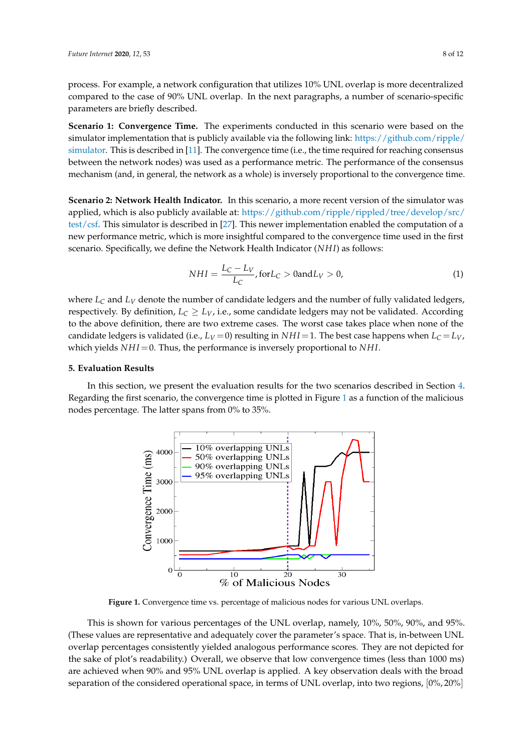process. For example, a network configuration that utilizes 10% UNL overlap is more decentralized compared to the case of 90% UNL overlap. In the next paragraphs, a number of scenario-specific parameters are briefly described.

**Scenario 1: Convergence Time.** The experiments conducted in this scenario were based on the simulator implementation that is publicly available via the following link: [https://github.com/ripple/](https://github.com/ripple/simulator) [simulator.](https://github.com/ripple/simulator) This is described in [\[11\]](#page-10-4). The convergence time (i.e., the time required for reaching consensus between the network nodes) was used as a performance metric. The performance of the consensus mechanism (and, in general, the network as a whole) is inversely proportional to the convergence time.

**Scenario 2: Network Health Indicator.** In this scenario, a more recent version of the simulator was applied, which is also publicly available at: [https://github.com/ripple/rippled/tree/develop/src/](https://github.com/ripple/rippled/tree/develop/src/test/csf) [test/csf.](https://github.com/ripple/rippled/tree/develop/src/test/csf) This simulator is described in [\[27\]](#page-10-19). This newer implementation enabled the computation of a new performance metric, which is more insightful compared to the convergence time used in the first scenario. Specifically, we define the Network Health Indicator (*NH I*) as follows:

$$
NHI = \frac{L_C - L_V}{L_C}, \text{for } L_C > 0 \text{ and } L_V > 0,
$$
\n(1)

where  $L_C$  and  $L_V$  denote the number of candidate ledgers and the number of fully validated ledgers, respectively. By definition,  $L_C \geq L_V$ , i.e., some candidate ledgers may not be validated. According to the above definition, there are two extreme cases. The worst case takes place when none of the candidate ledgers is validated (i.e.,  $L_V = 0$ ) resulting in  $NHI = 1$ . The best case happens when  $L_C = L_V$ , which yields *NHI* = 0. Thus, the performance is inversely proportional to *NHI*.

## <span id="page-7-0"></span>**5. Evaluation Results**

<span id="page-7-1"></span>In this section, we present the evaluation results for the two scenarios described in Section [4.](#page-6-0) Regarding the first scenario, the convergence time is plotted in Figure [1](#page-7-1) as a function of the malicious nodes percentage. The latter spans from 0% to 35%.



Figure 1. Convergence time vs. percentage of malicious nodes for various UNL overlaps.

This is shown for various percentages of the UNL overlap, namely, 10%, 50%, 90%, and 95%. (These values are representative and adequately cover the parameter's space. That is, in-between UNL overlap percentages consistently yielded analogous performance scores. They are not depicted for the sake of plot's readability.) Overall, we observe that low convergence times (less than 1000 ms) are achieved when 90% and 95% UNL overlap is applied. A key observation deals with the broad separation of the considered operational space, in terms of UNL overlap, into two regions,  $[0\%, 20\%]$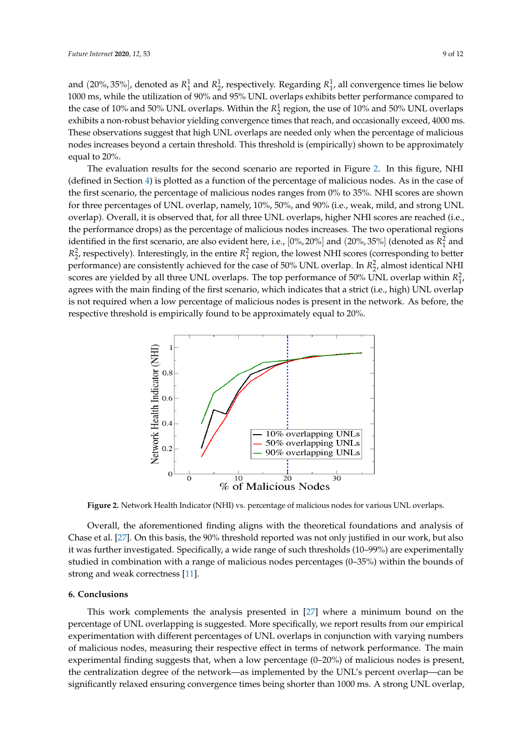and  $(20\%, 35\%)$ , denoted as  $R_1^1$  and  $R_2^1$ , respectively. Regarding  $R_1^1$ , all convergence times lie below 1000 ms, while the utilization of 90% and 95% UNL overlaps exhibits better performance compared to the case of 10% and 50% UNL overlaps. Within the  $R_2^1$  region, the use of 10% and 50% UNL overlaps exhibits a non-robust behavior yielding convergence times that reach, and occasionally exceed, 4000 ms. These observations suggest that high UNL overlaps are needed only when the percentage of malicious nodes increases beyond a certain threshold. This threshold is (empirically) shown to be approximately equal to 20%.

The evaluation results for the second scenario are reported in Figure [2.](#page-8-1) In this figure, NHI (defined in Section [4\)](#page-6-0) is plotted as a function of the percentage of malicious nodes. As in the case of the first scenario, the percentage of malicious nodes ranges from 0% to 35%. NHI scores are shown for three percentages of UNL overlap, namely, 10%, 50%, and 90% (i.e., weak, mild, and strong UNL overlap). Overall, it is observed that, for all three UNL overlaps, higher NHI scores are reached (i.e., the performance drops) as the percentage of malicious nodes increases. The two operational regions identified in the first scenario, are also evident here, i.e.,  $[0\%, 20\%]$  and  $(20\%, 35\%]$  (denoted as  $R_1^2$  and  $R_2$ , respectively). Interestingly, in the entire  $R_1^2$  region, the lowest NHI scores (corresponding to better performance) are consistently achieved for the case of 50% UNL overlap. In  $R_2^2$ , almost identical NHI scores are yielded by all three UNL overlaps. The top performance of 50% UNL overlap within  $R_1^2$ , agrees with the main finding of the first scenario, which indicates that a strict (i.e., high) UNL overlap is not required when a low percentage of malicious nodes is present in the network. As before, the respective threshold is empirically found to be approximately equal to 20%.

<span id="page-8-1"></span>

**Figure 2.** Network Health Indicator (NHI) vs. percentage of malicious nodes for various UNL overlaps.

Overall, the aforementioned finding aligns with the theoretical foundations and analysis of Chase et al. [\[27\]](#page-10-19). On this basis, the 90% threshold reported was not only justified in our work, but also it was further investigated. Specifically, a wide range of such thresholds (10–99%) are experimentally studied in combination with a range of malicious nodes percentages (0–35%) within the bounds of strong and weak correctness [\[11\]](#page-10-4).

## <span id="page-8-0"></span>**6. Conclusions**

This work complements the analysis presented in [\[27\]](#page-10-19) where a minimum bound on the percentage of UNL overlapping is suggested. More specifically, we report results from our empirical experimentation with different percentages of UNL overlaps in conjunction with varying numbers of malicious nodes, measuring their respective effect in terms of network performance. The main experimental finding suggests that, when a low percentage (0–20%) of malicious nodes is present, the centralization degree of the network—as implemented by the UNL's percent overlap—can be significantly relaxed ensuring convergence times being shorter than 1000 ms. A strong UNL overlap,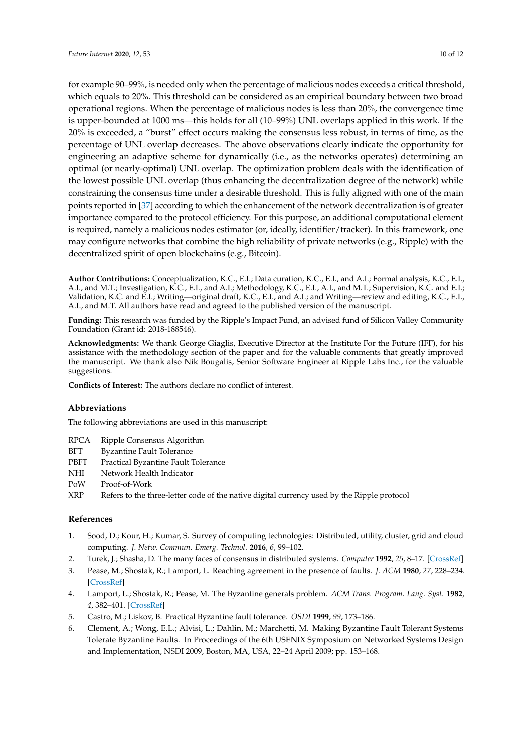for example 90–99%, is needed only when the percentage of malicious nodes exceeds a critical threshold, which equals to 20%. This threshold can be considered as an empirical boundary between two broad operational regions. When the percentage of malicious nodes is less than 20%, the convergence time is upper-bounded at 1000 ms—this holds for all (10–99%) UNL overlaps applied in this work. If the 20% is exceeded, a "burst" effect occurs making the consensus less robust, in terms of time, as the percentage of UNL overlap decreases. The above observations clearly indicate the opportunity for engineering an adaptive scheme for dynamically (i.e., as the networks operates) determining an optimal (or nearly-optimal) UNL overlap. The optimization problem deals with the identification of the lowest possible UNL overlap (thus enhancing the decentralization degree of the network) while constraining the consensus time under a desirable threshold. This is fully aligned with one of the main points reported in [\[37\]](#page-11-7) according to which the enhancement of the network decentralization is of greater importance compared to the protocol efficiency. For this purpose, an additional computational element is required, namely a malicious nodes estimator (or, ideally, identifier/tracker). In this framework, one may configure networks that combine the high reliability of private networks (e.g., Ripple) with the decentralized spirit of open blockchains (e.g., Bitcoin).

**Author Contributions:** Conceptualization, K.C., E.I.; Data curation, K.C., E.I., and A.I.; Formal analysis, K.C., E.I., A.I., and M.T.; Investigation, K.C., E.I., and A.I.; Methodology, K.C., E.I., A.I., and M.T.; Supervision, K.C. and E.I.; Validation, K.C. and E.I.; Writing—original draft, K.C., E.I., and A.I.; and Writing—review and editing, K.C., E.I., A.I., and M.T. All authors have read and agreed to the published version of the manuscript.

**Funding:** This research was funded by the Ripple's Impact Fund, an advised fund of Silicon Valley Community Foundation (Grant id: 2018-188546).

**Acknowledgments:** We thank George Giaglis, Executive Director at the Institute For the Future (IFF), for his assistance with the methodology section of the paper and for the valuable comments that greatly improved the manuscript. We thank also Nik Bougalis, Senior Software Engineer at Ripple Labs Inc., for the valuable suggestions.

**Conflicts of Interest:** The authors declare no conflict of interest.

## **Abbreviations**

The following abbreviations are used in this manuscript:

- RPCA Ripple Consensus Algorithm
- BFT Byzantine Fault Tolerance
- PBFT Practical Byzantine Fault Tolerance
- NHI Network Health Indicator
- PoW Proof-of-Work
- XRP Refers to the three-letter code of the native digital currency used by the Ripple protocol

## **References**

- <span id="page-9-0"></span>1. Sood, D.; Kour, H.; Kumar, S. Survey of computing technologies: Distributed, utility, cluster, grid and cloud computing. *J. Netw. Commun. Emerg. Technol*. **2016**, *6*, 99–102.
- <span id="page-9-1"></span>2. Turek, J.; Shasha, D. The many faces of consensus in distributed systems. *Computer* **1992**, *25*, 8–17. [\[CrossRef\]](http://dx.doi.org/10.1109/2.153253)
- <span id="page-9-2"></span>3. Pease, M.; Shostak, R.; Lamport, L. Reaching agreement in the presence of faults. *J. ACM* **1980**, *27*, 228–234. [\[CrossRef\]](http://dx.doi.org/10.1145/322186.322188)
- <span id="page-9-3"></span>4. Lamport, L.; Shostak, R.; Pease, M. The Byzantine generals problem. *ACM Trans. Program. Lang. Syst.* **1982**, *4*, 382–401. [\[CrossRef\]](http://dx.doi.org/10.1145/357172.357176)
- <span id="page-9-4"></span>5. Castro, M.; Liskov, B. Practical Byzantine fault tolerance. *OSDI* **1999**, *99*, 173–186.
- <span id="page-9-5"></span>6. Clement, A.; Wong, E.L.; Alvisi, L.; Dahlin, M.; Marchetti, M. Making Byzantine Fault Tolerant Systems Tolerate Byzantine Faults. In Proceedings of the 6th USENIX Symposium on Networked Systems Design and Implementation, NSDI 2009, Boston, MA, USA, 22–24 April 2009; pp. 153–168.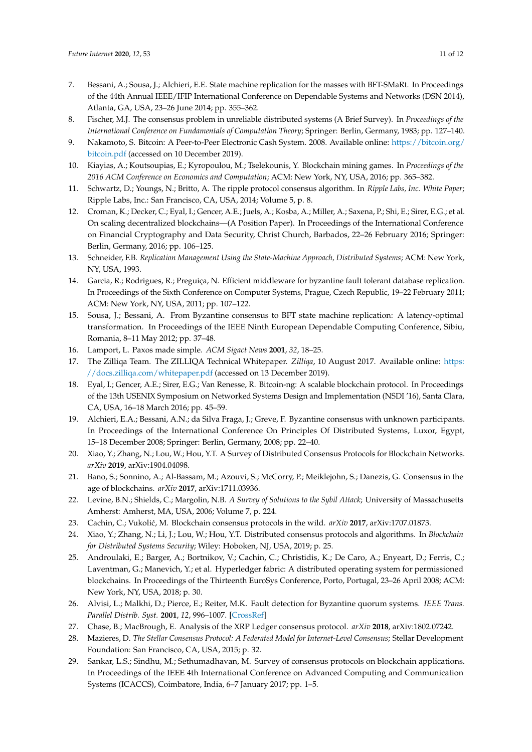- <span id="page-10-0"></span>7. Bessani, A.; Sousa, J.; Alchieri, E.E. State machine replication for the masses with BFT-SMaRt. In Proceedings of the 44th Annual IEEE/IFIP International Conference on Dependable Systems and Networks (DSN 2014), Atlanta, GA, USA, 23–26 June 2014; pp. 355–362.
- <span id="page-10-1"></span>8. Fischer, M.J. The consensus problem in unreliable distributed systems (A Brief Survey). In *Proceedings of the International Conference on Fundamentals of Computation Theory*; Springer: Berlin, Germany, 1983; pp. 127–140.
- <span id="page-10-2"></span>9. Nakamoto, S. Bitcoin: A Peer-to-Peer Electronic Cash System. 2008. Available online: [https://bitcoin.org/](https://bitcoin.org/bitcoin.pdf) [bitcoin.pdf](https://bitcoin.org/bitcoin.pdf) (accessed on 10 December 2019).
- <span id="page-10-3"></span>10. Kiayias, A.; Koutsoupias, E.; Kyropoulou, M.; Tselekounis, Y. Blockchain mining games. In *Proceedings of the 2016 ACM Conference on Economics and Computation*; ACM: New York, NY, USA, 2016; pp. 365–382.
- <span id="page-10-4"></span>11. Schwartz, D.; Youngs, N.; Britto, A. The ripple protocol consensus algorithm. In *Ripple Labs, Inc. White Paper*; Ripple Labs, Inc.: San Francisco, CA, USA, 2014; Volume 5, p. 8.
- <span id="page-10-5"></span>12. Croman, K.; Decker, C.; Eyal, I.; Gencer, A.E.; Juels, A.; Kosba, A.; Miller, A.; Saxena, P.; Shi, E.; Sirer, E.G.; et al. On scaling decentralized blockchains—(A Position Paper). In Proceedings of the International Conference on Financial Cryptography and Data Security, Christ Church, Barbados, 22–26 February 2016; Springer: Berlin, Germany, 2016; pp. 106–125.
- <span id="page-10-6"></span>13. Schneider, F.B. *Replication Management Using the State-Machine Approach, Distributed Systems*; ACM: New York, NY, USA, 1993.
- 14. Garcia, R.; Rodrigues, R.; Preguiça, N. Efficient middleware for byzantine fault tolerant database replication. In Proceedings of the Sixth Conference on Computer Systems, Prague, Czech Republic, 19–22 February 2011; ACM: New York, NY, USA, 2011; pp. 107–122.
- <span id="page-10-7"></span>15. Sousa, J.; Bessani, A. From Byzantine consensus to BFT state machine replication: A latency-optimal transformation. In Proceedings of the IEEE Ninth European Dependable Computing Conference, Sibiu, Romania, 8–11 May 2012; pp. 37–48.
- <span id="page-10-8"></span>16. Lamport, L. Paxos made simple. *ACM Sigact News* **2001**, *32*, 18–25.
- <span id="page-10-9"></span>17. The Zilliqa Team. The ZILLIQA Technical Whitepaper. *Zilliqa*, 10 August 2017. Available online: [https:](https://docs.zilliqa.com/whitepaper.pdf) [//docs.zilliqa.com/whitepaper.pdf](https://docs.zilliqa.com/whitepaper.pdf) (accessed on 13 December 2019).
- <span id="page-10-10"></span>18. Eyal, I.; Gencer, A.E.; Sirer, E.G.; Van Renesse, R. Bitcoin-ng: A scalable blockchain protocol. In Proceedings of the 13th USENIX Symposium on Networked Systems Design and Implementation (NSDI '16), Santa Clara, CA, USA, 16–18 March 2016; pp. 45–59.
- <span id="page-10-11"></span>19. Alchieri, E.A.; Bessani, A.N.; da Silva Fraga, J.; Greve, F. Byzantine consensus with unknown participants. In Proceedings of the International Conference On Principles Of Distributed Systems, Luxor, Egypt, 15–18 December 2008; Springer: Berlin, Germany, 2008; pp. 22–40.
- <span id="page-10-12"></span>20. Xiao, Y.; Zhang, N.; Lou, W.; Hou, Y.T. A Survey of Distributed Consensus Protocols for Blockchain Networks. *arXiv* **2019**, arXiv:1904.04098.
- <span id="page-10-13"></span>21. Bano, S.; Sonnino, A.; Al-Bassam, M.; Azouvi, S.; McCorry, P.; Meiklejohn, S.; Danezis, G. Consensus in the age of blockchains. *arXiv* **2017**, arXiv:1711.03936.
- <span id="page-10-14"></span>22. Levine, B.N.; Shields, C.; Margolin, N.B. *A Survey of Solutions to the Sybil Attack*; University of Massachusetts Amherst: Amherst, MA, USA, 2006; Volume 7, p. 224.
- <span id="page-10-15"></span>23. Cachin, C.; Vukolić, M. Blockchain consensus protocols in the wild. *arXiv* 2017, arXiv:1707.01873.
- <span id="page-10-16"></span>24. Xiao, Y.; Zhang, N.; Li, J.; Lou, W.; Hou, Y.T. Distributed consensus protocols and algorithms. In *Blockchain for Distributed Systems Security*; Wiley: Hoboken, NJ, USA, 2019; p. 25.
- <span id="page-10-17"></span>25. Androulaki, E.; Barger, A.; Bortnikov, V.; Cachin, C.; Christidis, K.; De Caro, A.; Enyeart, D.; Ferris, C.; Laventman, G.; Manevich, Y.; et al. Hyperledger fabric: A distributed operating system for permissioned blockchains. In Proceedings of the Thirteenth EuroSys Conference, Porto, Portugal, 23–26 April 2008; ACM: New York, NY, USA, 2018; p. 30.
- <span id="page-10-18"></span>26. Alvisi, L.; Malkhi, D.; Pierce, E.; Reiter, M.K. Fault detection for Byzantine quorum systems. *IEEE Trans. Parallel Distrib. Syst.* **2001**, *12*, 996–1007. [\[CrossRef\]](http://dx.doi.org/10.1109/71.954640)
- <span id="page-10-19"></span>27. Chase, B.; MacBrough, E. Analysis of the XRP Ledger consensus protocol. *arXiv* **2018**, arXiv:1802.07242.
- <span id="page-10-20"></span>28. Mazieres, D. *The Stellar Consensus Protocol: A Federated Model for Internet-Level Consensus*; Stellar Development Foundation: San Francisco, CA, USA, 2015; p. 32.
- <span id="page-10-21"></span>29. Sankar, L.S.; Sindhu, M.; Sethumadhavan, M. Survey of consensus protocols on blockchain applications. In Proceedings of the IEEE 4th International Conference on Advanced Computing and Communication Systems (ICACCS), Coimbatore, India, 6–7 January 2017; pp. 1–5.